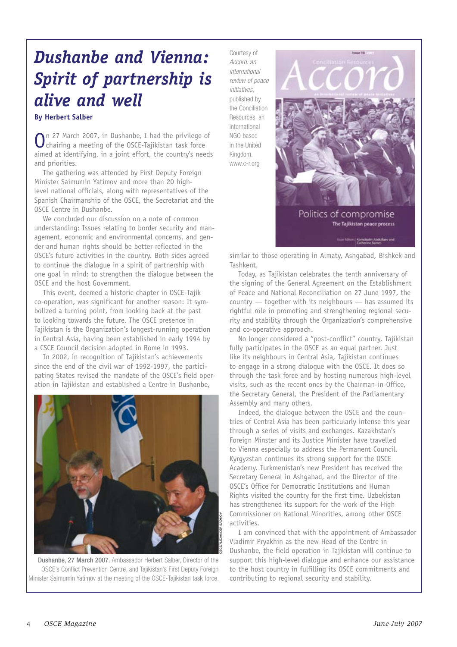## *Dushanbe and Vienna: Spirit of partnership is alive and well*

## **By Herbert Salber**

On 27 March 2007, in Dushanbe, I had the privilege of chairing a meeting of the OSCE-Tajikistan task force aimed at identifying, in a joint effort, the country's needs and priorities.

The gathering was attended by First Deputy Foreign Minister Saimumin Yatimov and more than 20 highlevel national officials, along with representatives of the Spanish Chairmanship of the OSCE, the Secretariat and the OSCE Centre in Dushanbe.

We concluded our discussion on a note of common understanding: Issues relating to border security and management, economic and environmental concerns, and gender and human rights should be better reflected in the OSCE's future activities in the country. Both sides agreed to continue the dialogue in a spirit of partnership with one goal in mind: to strengthen the dialogue between the OSCE and the host Government.

This event, deemed a historic chapter in OSCE-Tajik co-operation, was significant for another reason: It symbolized a turning point, from looking back at the past to looking towards the future. The OSCE presence in Tajikistan is the Organization's longest-running operation in Central Asia, having been established in early 1994 by a CSCE Council decision adopted in Rome in 1993.

In 2002, in recognition of Tajikistan's achievements since the end of the civil war of 1992-1997, the participating States revised the mandate of the OSCE's field operation in Tajikistan and established a Centre in Dushanbe,



Dushanbe, 27 March 2007. Ambassador Herbert Salber, Director of the OSCE's Conflict Prevention Centre, and Tajikistan's First Deputy Foreign Minister Saimumin Yatimov at the meeting of the OSCE-Tajikistan task force.

Courtesy of *Accord: an international review of peace initiatives*, published by the Conciliation Resources, an international NGO based in the United Kingdom. www.c-r.org



similar to those operating in Almaty, Ashgabad, Bishkek and Tashkent.

Today, as Tajikistan celebrates the tenth anniversary of the signing of the General Agreement on the Establishment of Peace and National Reconciliation on 27 June 1997, the country — together with its neighbours — has assumed its rightful role in promoting and strengthening regional security and stability through the Organization's comprehensive and co-operative approach.

No longer considered a "post-conflict" country, Tajikistan fully participates in the OSCE as an equal partner. Just like its neighbours in Central Asia, Tajikistan continues to engage in a strong dialogue with the OSCE. It does so through the task force and by hosting numerous high-level visits, such as the recent ones by the Chairman-in-Office, the Secretary General, the President of the Parliamentary Assembly and many others.

Indeed, the dialogue between the OSCE and the countries of Central Asia has been particularly intense this year through a series of visits and exchanges. Kazakhstan's Foreign Minster and its Justice Minister have travelled to Vienna especially to address the Permanent Council. Kyrgyzstan continues its strong support for the OSCE Academy. Turkmenistan's new President has received the Secretary General in Ashgabad, and the Director of the OSCE's Office for Democratic Institutions and Human Rights visited the country for the first time. Uzbekistan has strengthened its support for the work of the High Commissioner on National Minorities, among other OSCE activities.

I am convinced that with the appointment of Ambassador Vladimir Pryakhin as the new Head of the Centre in Dushanbe, the field operation in Tajikistan will continue to support this high-level dialogue and enhance our assistance to the host country in fulfilling its OSCE commitments and contributing to regional security and stability.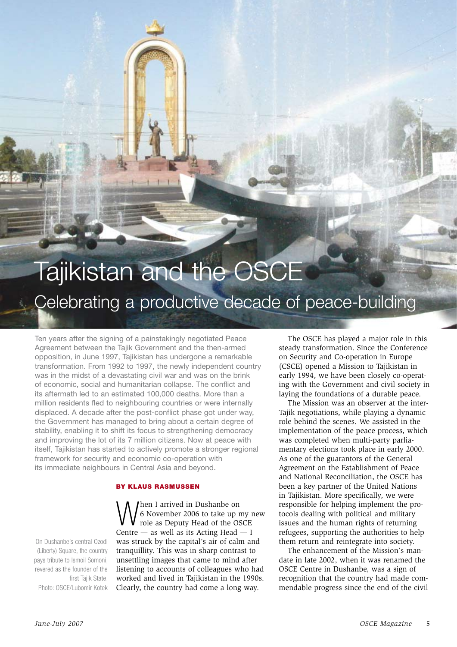## Tajikistan and the OSCE Celebrating a productive decade of peace-building

Ten years after the signing of a painstakingly negotiated Peace Agreement between the Tajik Government and the then-armed opposition, in June 1997, Tajikistan has undergone a remarkable transformation. From 1992 to 1997, the newly independent country was in the midst of a devastating civil war and was on the brink of economic, social and humanitarian collapse. The conflict and its aftermath led to an estimated 100,000 deaths. More than a million residents fled to neighbouring countries or were internally displaced. A decade after the post-conflict phase got under way, the Government has managed to bring about a certain degree of stability, enabling it to shift its focus to strengthening democracy and improving the lot of its 7 million citizens. Now at peace with itself, Tajikistan has started to actively promote a stronger regional framework for security and economic co-operation with its immediate neighbours in Central Asia and beyond.

## By Klaus Rasmussen

On Dushanbe's central Ozodi (Liberty) Square, the country pays tribute to Ismoil Somoni, revered as the founder of the first Tajik State. Photo: OSCE/Lubomir Kotek

When I arrived in Dushanbe on<br>
f 6 November 2006 to take up my r<br>
role as Deputy Head of the OSCE 6 November 2006 to take up my new Centre  $-$  as well as its Acting Head  $-$  I was struck by the capital's air of calm and tranquillity. This was in sharp contrast to unsettling images that came to mind after listening to accounts of colleagues who had worked and lived in Tajikistan in the 1990s. Clearly, the country had come a long way.

The OSCE has played a major role in this steady transformation. Since the Conference on Security and Co-operation in Europe (CSCE) opened a Mission to Tajikistan in early 1994, we have been closely co-operating with the Government and civil society in laying the foundations of a durable peace.

The Mission was an observer at the inter-Tajik negotiations, while playing a dynamic role behind the scenes. We assisted in the implementation of the peace process, which was completed when multi-party parliamentary elections took place in early 2000. As one of the guarantors of the General Agreement on the Establishment of Peace and National Reconciliation, the OSCE has been a key partner of the United Nations in Tajikistan. More specifically, we were responsible for helping implement the protocols dealing with political and military issues and the human rights of returning refugees, supporting the authorities to help them return and reintegrate into society.

The enhancement of the Mission's mandate in late 2002, when it was renamed the OSCE Centre in Dushanbe, was a sign of recognition that the country had made commendable progress since the end of the civil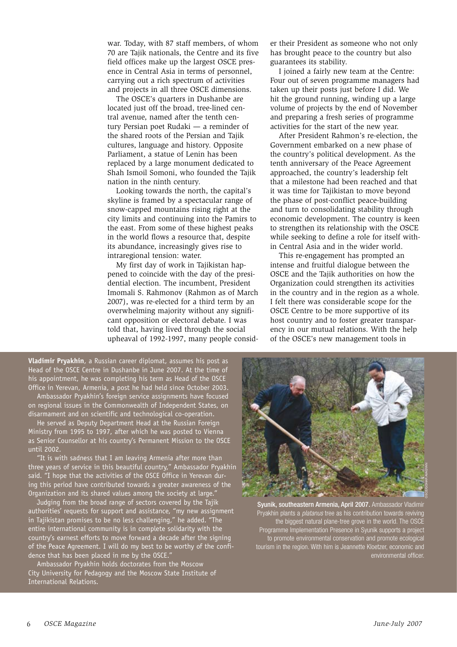war. Today, with 87 staff members, of whom 70 are Tajik nationals, the Centre and its five field offices make up the largest OSCE presence in Central Asia in terms of personnel, carrying out a rich spectrum of activities and projects in all three OSCE dimensions.

The OSCE's quarters in Dushanbe are located just off the broad, tree-lined central avenue, named after the tenth century Persian poet Rudaki — a reminder of the shared roots of the Persian and Tajik cultures, language and history. Opposite Parliament, a statue of Lenin has been replaced by a large monument dedicated to Shah Ismoil Somoni, who founded the Tajik nation in the ninth century.

Looking towards the north, the capital's skyline is framed by a spectacular range of snow-capped mountains rising right at the city limits and continuing into the Pamirs to the east. From some of these highest peaks in the world flows a resource that, despite its abundance, increasingly gives rise to intraregional tension: water.

My first day of work in Tajikistan happened to coincide with the day of the presidential election. The incumbent, President Imomali S. Rahmonov (Rahmon as of March 2007), was re-elected for a third term by an overwhelming majority without any significant opposition or electoral debate. I was told that, having lived through the social upheaval of 1992-1997, many people consid-

**Vladimir Pryakhin**, a Russian career diplomat, assumes his post as Head of the OSCE Centre in Dushanbe in June 2007. At the time of his appointment, he was completing his term as Head of the OSCE Office in Yerevan, Armenia, a post he had held since October 2003.

Ambassador Pryakhin's foreign service assignments have focused on regional issues in the Commonwealth of Independent States, on disarmament and on scientific and technological co-operation.

He served as Deputy Department Head at the Russian Foreign Ministry from 1995 to 1997, after which he was posted to Vienna as Senior Counsellor at his country's Permanent Mission to the OSCE until 2002.

"It is with sadness that I am leaving Armenia after more than three years of service in this beautiful country," Ambassador Pryakhin said. "I hope that the activities of the OSCE Office in Yerevan during this period have contributed towards a greater awareness of the Organization and its shared values among the society at large."

Judging from the broad range of sectors covered by the Tajik authorities' requests for support and assistance, "my new assignment in Tajikistan promises to be no less challenging," he added. "The entire international community is in complete solidarity with the country's earnest efforts to move forward a decade after the signing of the Peace Agreement. I will do my best to be worthy of the confidence that has been placed in me by the OSCE."

Ambassador Pryakhin holds doctorates from the Moscow City University for Pedagogy and the Moscow State Institute of International Relations.

er their President as someone who not only has brought peace to the country but also guarantees its stability.

I joined a fairly new team at the Centre: Four out of seven programme managers had taken up their posts just before I did. We hit the ground running, winding up a large volume of projects by the end of November and preparing a fresh series of programme activities for the start of the new year.

After President Rahmon's re-election, the Government embarked on a new phase of the country's political development. As the tenth anniversary of the Peace Agreement approached, the country's leadership felt that a milestone had been reached and that it was time for Tajikistan to move beyond the phase of post-conflict peace-building and turn to consolidating stability through economic development. The country is keen to strengthen its relationship with the OSCE while seeking to define a role for itself within Central Asia and in the wider world.

This re-engagement has prompted an intense and fruitful dialogue between the OSCE and the Tajik authorities on how the Organization could strengthen its activities in the country and in the region as a whole. I felt there was considerable scope for the OSCE Centre to be more supportive of its host country and to foster greater transparency in our mutual relations. With the help of the OSCE's new management tools in



Syunik, southeastern Armenia, April 2007. Ambassador Vladimir Pryakhin plants a *platanus* tree as his contribution towards reviving the biggest natural plane-tree grove in the world. The OSCE Programme Implementation Presence in Syunik supports a project to promote environmental conservation and promote ecological tourism in the region. With him is Jeannette Kloetzer, economic and environmental officer.